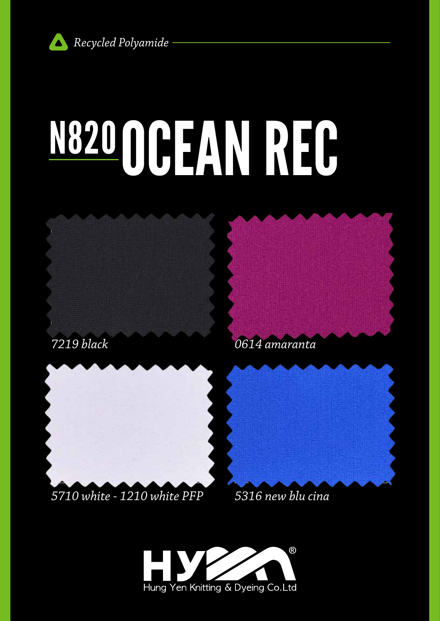

# N820 OCEAN REC







### *5710 white - 1210 white PFP*

*5316 new blu cina*